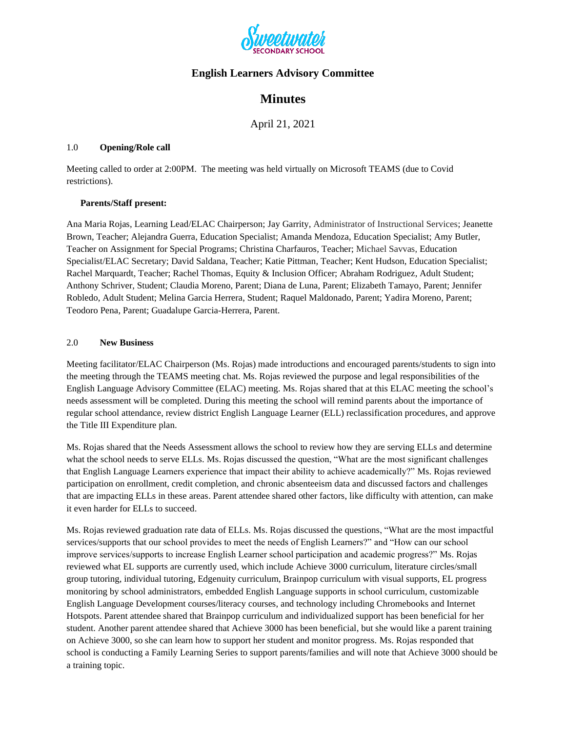

## **English Learners Advisory Committee**

# **Minutes**

April 21, 2021

#### 1.0 **Opening/Role call**

Meeting called to order at 2:00PM. The meeting was held virtually on Microsoft TEAMS (due to Covid restrictions).

### **Parents/Staff present:**

Ana Maria Rojas, Learning Lead/ELAC Chairperson; Jay Garrity, Administrator of Instructional Services; Jeanette Brown, Teacher; Alejandra Guerra, Education Specialist; Amanda Mendoza, Education Specialist; Amy Butler, Teacher on Assignment for Special Programs; Christina Charfauros, Teacher; Michael Savvas, Education Specialist/ELAC Secretary; David Saldana, Teacher; Katie Pittman, Teacher; Kent Hudson, Education Specialist; Rachel Marquardt, Teacher; Rachel Thomas, Equity & Inclusion Officer; Abraham Rodriguez, Adult Student; Anthony Schriver, Student; Claudia Moreno, Parent; Diana de Luna, Parent; Elizabeth Tamayo, Parent; Jennifer Robledo, Adult Student; Melina Garcia Herrera, Student; Raquel Maldonado, Parent; Yadira Moreno, Parent; Teodoro Pena, Parent; Guadalupe Garcia-Herrera, Parent.

### 2.0 **New Business**

Meeting facilitator/ELAC Chairperson (Ms. Rojas) made introductions and encouraged parents/students to sign into the meeting through the TEAMS meeting chat. Ms. Rojas reviewed the purpose and legal responsibilities of the English Language Advisory Committee (ELAC) meeting. Ms. Rojas shared that at this ELAC meeting the school's needs assessment will be completed. During this meeting the school will remind parents about the importance of regular school attendance, review district English Language Learner (ELL) reclassification procedures, and approve the Title III Expenditure plan.

Ms. Rojas shared that the Needs Assessment allows the school to review how they are serving ELLs and determine what the school needs to serve ELLs. Ms. Rojas discussed the question, "What are the most significant challenges that English Language Learners experience that impact their ability to achieve academically?" Ms. Rojas reviewed participation on enrollment, credit completion, and chronic absenteeism data and discussed factors and challenges that are impacting ELLs in these areas. Parent attendee shared other factors, like difficulty with attention, can make it even harder for ELLs to succeed.

Ms. Rojas reviewed graduation rate data of ELLs. Ms. Rojas discussed the questions, "What are the most impactful services/supports that our school provides to meet the needs of English Learners?" and "How can our school improve services/supports to increase English Learner school participation and academic progress?" Ms. Rojas reviewed what EL supports are currently used, which include Achieve 3000 curriculum, literature circles/small group tutoring, individual tutoring, Edgenuity curriculum, Brainpop curriculum with visual supports, EL progress monitoring by school administrators, embedded English Language supports in school curriculum, customizable English Language Development courses/literacy courses, and technology including Chromebooks and Internet Hotspots. Parent attendee shared that Brainpop curriculum and individualized support has been beneficial for her student. Another parent attendee shared that Achieve 3000 has been beneficial, but she would like a parent training on Achieve 3000, so she can learn how to support her student and monitor progress. Ms. Rojas responded that school is conducting a Family Learning Series to support parents/families and will note that Achieve 3000 should be a training topic.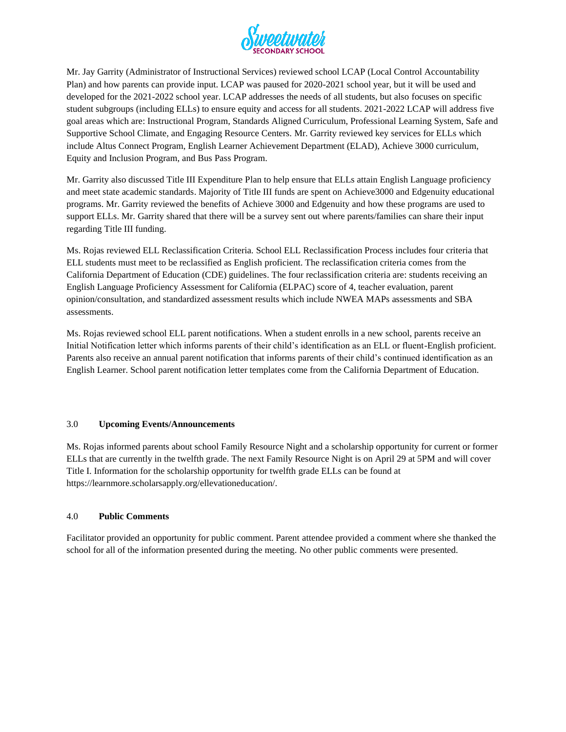

Mr. Jay Garrity (Administrator of Instructional Services) reviewed school LCAP (Local Control Accountability Plan) and how parents can provide input. LCAP was paused for 2020-2021 school year, but it will be used and developed for the 2021-2022 school year. LCAP addresses the needs of all students, but also focuses on specific student subgroups (including ELLs) to ensure equity and access for all students. 2021-2022 LCAP will address five goal areas which are: Instructional Program, Standards Aligned Curriculum, Professional Learning System, Safe and Supportive School Climate, and Engaging Resource Centers. Mr. Garrity reviewed key services for ELLs which include Altus Connect Program, English Learner Achievement Department (ELAD), Achieve 3000 curriculum, Equity and Inclusion Program, and Bus Pass Program.

Mr. Garrity also discussed Title III Expenditure Plan to help ensure that ELLs attain English Language proficiency and meet state academic standards. Majority of Title III funds are spent on Achieve3000 and Edgenuity educational programs. Mr. Garrity reviewed the benefits of Achieve 3000 and Edgenuity and how these programs are used to support ELLs. Mr. Garrity shared that there will be a survey sent out where parents/families can share their input regarding Title III funding.

Ms. Rojas reviewed ELL Reclassification Criteria. School ELL Reclassification Process includes four criteria that ELL students must meet to be reclassified as English proficient. The reclassification criteria comes from the California Department of Education (CDE) guidelines. The four reclassification criteria are: students receiving an English Language Proficiency Assessment for California (ELPAC) score of 4, teacher evaluation, parent opinion/consultation, and standardized assessment results which include NWEA MAPs assessments and SBA assessments.

Ms. Rojas reviewed school ELL parent notifications. When a student enrolls in a new school, parents receive an Initial Notification letter which informs parents of their child's identification as an ELL or fluent-English proficient. Parents also receive an annual parent notification that informs parents of their child's continued identification as an English Learner. School parent notification letter templates come from the California Department of Education.

#### 3.0 **Upcoming Events/Announcements**

Ms. Rojas informed parents about school Family Resource Night and a scholarship opportunity for current or former ELLs that are currently in the twelfth grade. The next Family Resource Night is on April 29 at 5PM and will cover Title I. Information for the scholarship opportunity for twelfth grade ELLs can be found at https://learnmore.scholarsapply.org/ellevationeducation/.

#### 4.0 **Public Comments**

Facilitator provided an opportunity for public comment. Parent attendee provided a comment where she thanked the school for all of the information presented during the meeting. No other public comments were presented.